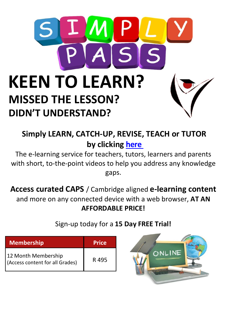

## **Simply LEARN, CATCH-UP, REVISE, TEACH or TUTOR by clicking [here](https://live.simplypass.co.za/?ref=2145)**

The e-learning service for teachers, tutors, learners and parents with short, to-the-point videos to help you address any knowledge gaps.

**Access curated CAPS** / Cambridge aligned **e-learning content** and more on any connected device with a web browser, **AT AN AFFORDABLE PRICE!**

Sign-up today for a **15 Day FREE Trial!**

| <b>Membership</b>                                      | <b>Price</b> |
|--------------------------------------------------------|--------------|
| 12 Month Membership<br>(Access content for all Grades) | R 495        |

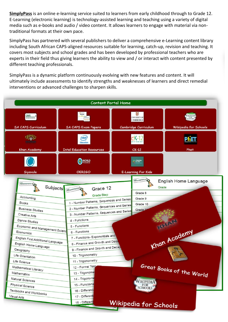**SimplyPass** is an online e-learning service suited to learners from early childhood through to Grade 12. E-Learning (electronic learning) is technology-assisted learning and teaching using a variety of digital media such as e-books and audio / video content. It allows learners to engage with material via nontraditional formats at their own pace.

SimplyPass has partnered with several publishers to deliver a comprehensive e-Learning content library including South African CAPS-aligned resources suitable for learning, catch-up, revision and teaching. It covers most subjects and school grades and has been developed by professional teachers who are experts in their field thus giving learners the ability to view and / or interact with content presented by different teaching professionals.

SimplyPass is a dynamic platform continuously evolving with new features and content. It will ultimately include assessments to identify strengths and weaknesses of learners and direct remedial interventions or advanced challenges to sharpen skills.

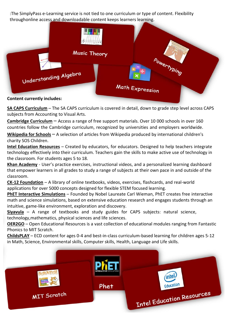:The SimplyPass e-Learning service is not tied to one curriculum or type of content. Flexibility throughonline access and downloadable content keeps learners learning.



**SA CAPS Curriculum** – The SA CAPS curriculum is covered in detail, down to grade step level across CAPS subjects from Accounting to Visual Arts.

**Cambridge Curriculum** – Access a range of free support materials. Over 10 000 schools in over 160 countries follow the Cambridge curriculum, recognized by universities and employers worldwide.

**Wikipedia for Schools** – A selection of articles from Wikipedia produced by international children's charity SOS Children.

**Intel Education Resources** – Created by educators, for educators. Designed to help teachers integrate technology effectively into their curriculum. Teachers gain the skills to make active use of technology in the classroom. For students ages 5 to 18.

**Khan Academy** - User's practice exercises, instructional videos, and a personalized learning dashboard that empower learners in all grades to study a range of subjects at their own pace in and outside of the classroom.

**CK-12 Foundation** – A library of online textbooks, videos, exercises, flashcards, and real-world applications for over 5000 concepts designed for flexible STEM focused learning.

**PhET Interactive Simulations** – Founded by Nobel Laureate Carl Wieman, PhET creates free interactive math and science simulations, based on extensive education research and engages students through an intuitive, game-like environment, exploration and discovery.

**Siyavula** – A range of textbooks and study guides for CAPS subjects: natural science, technology,mathematics, physical sciences and life sciences.

**OER2GO** – Open Educational Resources is a vast collection of educational modules ranging from Fantastic Phonics to MIT Scratch.

**ChildsPLAY** – ECD content for ages 0-4 and best-in-class curriculum-based learning for children ages 5-12 in Math, Science, Environmental skills, Computer skills, Health, Language and Life skills.